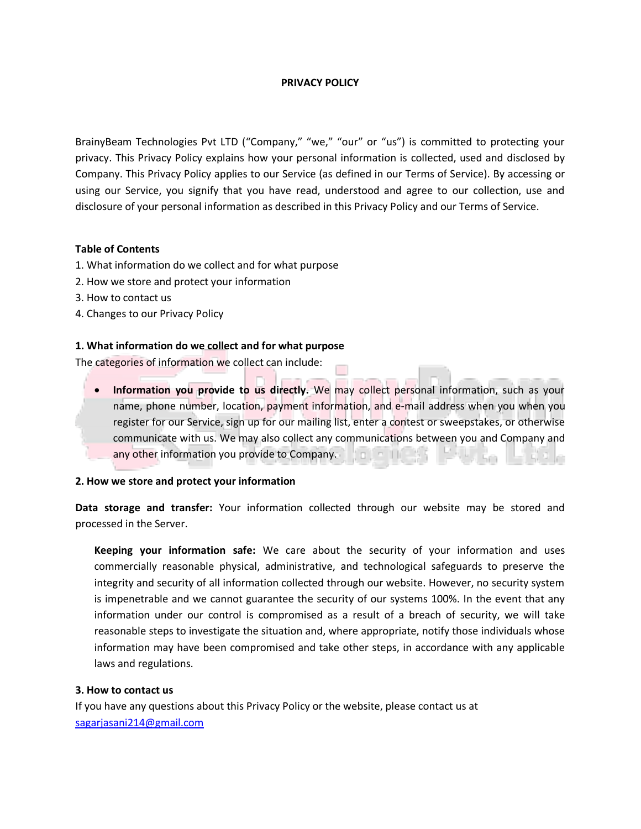# **PRIVACY POLICY**

BrainyBeam Technologies Pvt LTD ("Company," "we," "our" or "us") is committed to protecting your privacy. This Privacy Policy explains how your personal information is collected, used and disclosed by Company. This Privacy Policy applies to our Service (as defined in our Terms of Service). By accessing or using our Service, you signify that you have read, understood and agree to our collection, use and disclosure of your personal information as described in this Privacy Policy and our Terms of Service.

### **Table of Contents**

- 1. What information do we collect and for what purpose
- 2. How we store and protect your information
- 3. How to contact us
- 4. Changes to our Privacy Policy

### **1. What information do we collect and for what purpose**

The categories of information we collect can include:

 **Information you provide to us directly.** We may collect personal information, such as your name, phone number, location, payment information, and e-mail address when you when you register for our Service, sign up for our mailing list, enter a contest or sweepstakes, or otherwise communicate with us. We may also collect any communications between you and Company and any other information you provide to Company.

### **2. How we store and protect your information**

**Data storage and transfer:** Your information collected through our website may be stored and processed in the Server.

**Keeping your information safe:** We care about the security of your information and uses commercially reasonable physical, administrative, and technological safeguards to preserve the integrity and security of all information collected through our website. However, no security system is impenetrable and we cannot guarantee the security of our systems 100%. In the event that any information under our control is compromised as a result of a breach of security, we will take reasonable steps to investigate the situation and, where appropriate, notify those individuals whose information may have been compromised and take other steps, in accordance with any applicable laws and regulations.

### **3. How to contact us**

If you have any questions about this Privacy Policy or the website, please contact us at [sagarjasani214@gmail.com](mailto:sagarjasani214@gmail.com)